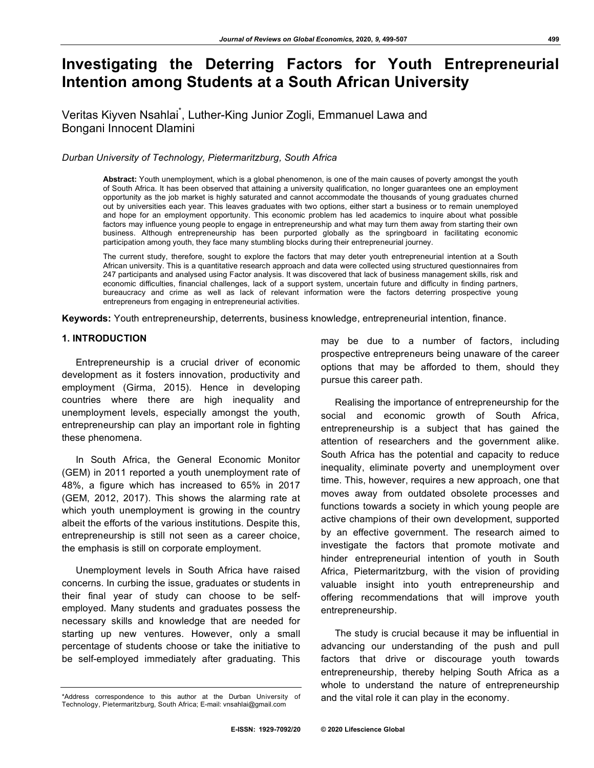# **Investigating the Deterring Factors for Youth Entrepreneurial Intention among Students at a South African University**

# Veritas Kiyven Nsahlai<sup>\*</sup>, Luther-King Junior Zogli, Emmanuel Lawa and Bongani Innocent Dlamini

*Durban University of Technology, Pietermaritzburg, South Africa*

**Abstract:** Youth unemployment, which is a global phenomenon, is one of the main causes of poverty amongst the youth of South Africa. It has been observed that attaining a university qualification, no longer guarantees one an employment opportunity as the job market is highly saturated and cannot accommodate the thousands of young graduates churned out by universities each year. This leaves graduates with two options, either start a business or to remain unemployed and hope for an employment opportunity. This economic problem has led academics to inquire about what possible factors may influence young people to engage in entrepreneurship and what may turn them away from starting their own business. Although entrepreneurship has been purported globally as the springboard in facilitating economic participation among youth, they face many stumbling blocks during their entrepreneurial journey.

The current study, therefore, sought to explore the factors that may deter youth entrepreneurial intention at a South African university. This is a quantitative research approach and data were collected using structured questionnaires from 247 participants and analysed using Factor analysis. It was discovered that lack of business management skills, risk and economic difficulties, financial challenges, lack of a support system, uncertain future and difficulty in finding partners, bureaucracy and crime as well as lack of relevant information were the factors deterring prospective young entrepreneurs from engaging in entrepreneurial activities.

**Keywords:** Youth entrepreneurship, deterrents, business knowledge, entrepreneurial intention, finance.

### **1. INTRODUCTION**

Entrepreneurship is a crucial driver of economic development as it fosters innovation, productivity and employment (Girma, 2015). Hence in developing countries where there are high inequality and unemployment levels, especially amongst the youth, entrepreneurship can play an important role in fighting these phenomena.

In South Africa, the General Economic Monitor (GEM) in 2011 reported a youth unemployment rate of 48%, a figure which has increased to 65% in 2017 (GEM, 2012, 2017). This shows the alarming rate at which youth unemployment is growing in the country albeit the efforts of the various institutions. Despite this, entrepreneurship is still not seen as a career choice, the emphasis is still on corporate employment.

Unemployment levels in South Africa have raised concerns. In curbing the issue, graduates or students in their final year of study can choose to be selfemployed. Many students and graduates possess the necessary skills and knowledge that are needed for starting up new ventures. However, only a small percentage of students choose or take the initiative to be self-employed immediately after graduating. This

may be due to a number of factors, including prospective entrepreneurs being unaware of the career options that may be afforded to them, should they pursue this career path.

Realising the importance of entrepreneurship for the social and economic growth of South Africa, entrepreneurship is a subject that has gained the attention of researchers and the government alike. South Africa has the potential and capacity to reduce inequality, eliminate poverty and unemployment over time. This, however, requires a new approach, one that moves away from outdated obsolete processes and functions towards a society in which young people are active champions of their own development, supported by an effective government. The research aimed to investigate the factors that promote motivate and hinder entrepreneurial intention of youth in South Africa, Pietermaritzburg, with the vision of providing valuable insight into youth entrepreneurship and offering recommendations that will improve youth entrepreneurship.

The study is crucial because it may be influential in advancing our understanding of the push and pull factors that drive or discourage youth towards entrepreneurship, thereby helping South Africa as a whole to understand the nature of entrepreneurship and the vital role it can play in the economy.

<sup>\*</sup>Address correspondence to this author at the Durban University of Technology, Pietermaritzburg, South Africa; E-mail: vnsahlai@gmail.com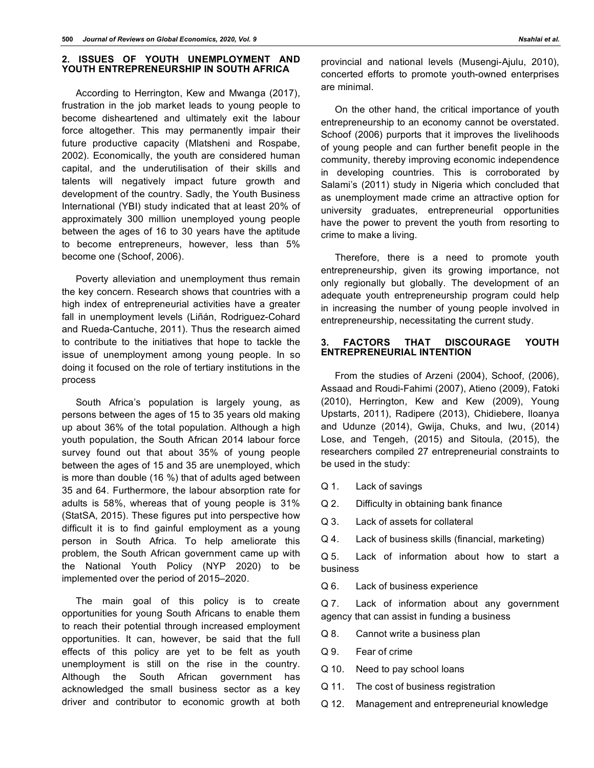#### **2. ISSUES OF YOUTH UNEMPLOYMENT AND YOUTH ENTREPRENEURSHIP IN SOUTH AFRICA**

According to Herrington, Kew and Mwanga (2017), frustration in the job market leads to young people to become disheartened and ultimately exit the labour force altogether. This may permanently impair their future productive capacity (Mlatsheni and Rospabe, 2002). Economically, the youth are considered human capital, and the underutilisation of their skills and talents will negatively impact future growth and development of the country. Sadly, the Youth Business International (YBI) study indicated that at least 20% of approximately 300 million unemployed young people between the ages of 16 to 30 years have the aptitude to become entrepreneurs, however, less than 5% become one (Schoof, 2006).

Poverty alleviation and unemployment thus remain the key concern. Research shows that countries with a high index of entrepreneurial activities have a greater fall in unemployment levels (Liñán, Rodriguez-Cohard and Rueda-Cantuche, 2011). Thus the research aimed to contribute to the initiatives that hope to tackle the issue of unemployment among young people. In so doing it focused on the role of tertiary institutions in the process

South Africa's population is largely young, as persons between the ages of 15 to 35 years old making up about 36% of the total population. Although a high youth population, the South African 2014 labour force survey found out that about 35% of young people between the ages of 15 and 35 are unemployed, which is more than double (16 %) that of adults aged between 35 and 64. Furthermore, the labour absorption rate for adults is 58%, whereas that of young people is 31% (StatSA, 2015). These figures put into perspective how difficult it is to find gainful employment as a young person in South Africa. To help ameliorate this problem, the South African government came up with the National Youth Policy (NYP 2020) to be implemented over the period of 2015–2020.

The main goal of this policy is to create opportunities for young South Africans to enable them to reach their potential through increased employment opportunities. It can, however, be said that the full effects of this policy are yet to be felt as youth unemployment is still on the rise in the country. Although the South African government has acknowledged the small business sector as a key driver and contributor to economic growth at both

provincial and national levels (Musengi-Ajulu, 2010), concerted efforts to promote youth-owned enterprises are minimal.

On the other hand, the critical importance of youth entrepreneurship to an economy cannot be overstated. Schoof (2006) purports that it improves the livelihoods of young people and can further benefit people in the community, thereby improving economic independence in developing countries. This is corroborated by Salami's (2011) study in Nigeria which concluded that as unemployment made crime an attractive option for university graduates, entrepreneurial opportunities have the power to prevent the youth from resorting to crime to make a living.

Therefore, there is a need to promote youth entrepreneurship, given its growing importance, not only regionally but globally. The development of an adequate youth entrepreneurship program could help in increasing the number of young people involved in entrepreneurship, necessitating the current study.

### **3. FACTORS THAT DISCOURAGE YOUTH ENTREPRENEURIAL INTENTION**

From the studies of Arzeni (2004), Schoof, (2006), Assaad and Roudi-Fahimi (2007), Atieno (2009), Fatoki (2010), Herrington, Kew and Kew (2009), Young Upstarts, 2011), Radipere (2013), Chidiebere, Iloanya and Udunze (2014), Gwija, Chuks, and Iwu, (2014) Lose, and Tengeh, (2015) and Sitoula, (2015), the researchers compiled 27 entrepreneurial constraints to be used in the study:

Q 1. Lack of savings

- Q 2. Difficulty in obtaining bank finance
- Q 3. Lack of assets for collateral
- Q 4. Lack of business skills (financial, marketing)

Q 5. Lack of information about how to start a business

Q 6. Lack of business experience

Q 7. Lack of information about any government agency that can assist in funding a business

- Q 8. Cannot write a business plan
- Q 9. Fear of crime
- Q 10. Need to pay school loans
- Q 11. The cost of business registration
- Q 12. Management and entrepreneurial knowledge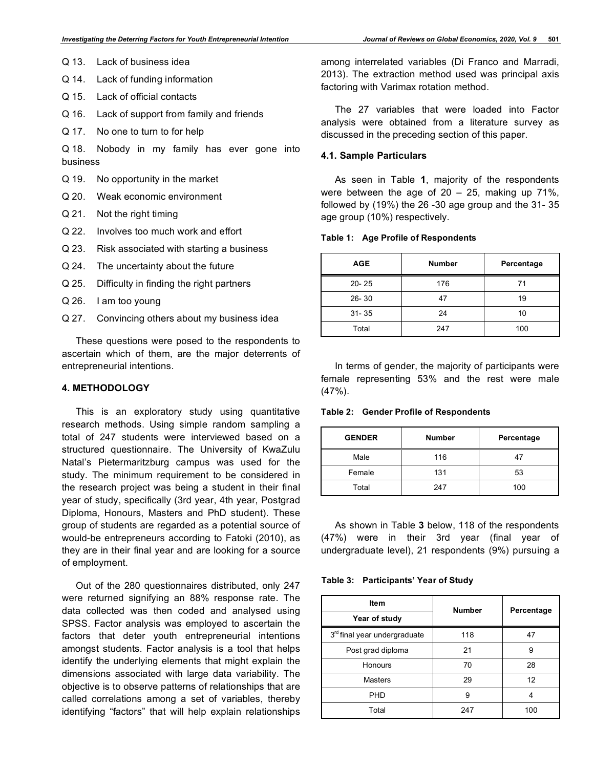- Q 13. Lack of business idea
- Q 14. Lack of funding information
- Q 15. Lack of official contacts
- Q 16. Lack of support from family and friends
- Q 17. No one to turn to for help

Q 18. Nobody in my family has ever gone into business

- Q 19. No opportunity in the market
- Q 20. Weak economic environment
- Q 21. Not the right timing
- Q 22. Involves too much work and effort
- Q 23. Risk associated with starting a business
- Q 24. The uncertainty about the future
- Q 25. Difficulty in finding the right partners
- Q 26. I am too young
- Q 27. Convincing others about my business idea

These questions were posed to the respondents to ascertain which of them, are the major deterrents of entrepreneurial intentions.

#### **4. METHODOLOGY**

This is an exploratory study using quantitative research methods. Using simple random sampling a total of 247 students were interviewed based on a structured questionnaire. The University of KwaZulu Natal's Pietermaritzburg campus was used for the study. The minimum requirement to be considered in the research project was being a student in their final year of study, specifically (3rd year, 4th year, Postgrad Diploma, Honours, Masters and PhD student). These group of students are regarded as a potential source of would-be entrepreneurs according to Fatoki (2010), as they are in their final year and are looking for a source of employment.

Out of the 280 questionnaires distributed, only 247 were returned signifying an 88% response rate. The data collected was then coded and analysed using SPSS. Factor analysis was employed to ascertain the factors that deter youth entrepreneurial intentions amongst students. Factor analysis is a tool that helps identify the underlying elements that might explain the dimensions associated with large data variability. The objective is to observe patterns of relationships that are called correlations among a set of variables, thereby identifying "factors" that will help explain relationships

among interrelated variables (Di Franco and Marradi, 2013). The extraction method used was principal axis factoring with Varimax rotation method.

The 27 variables that were loaded into Factor analysis were obtained from a literature survey as discussed in the preceding section of this paper.

#### **4.1. Sample Particulars**

As seen in Table **1**, majority of the respondents were between the age of  $20 - 25$ , making up 71%, followed by (19%) the 26 -30 age group and the 31- 35 age group (10%) respectively.

#### **Table 1: Age Profile of Respondents**

| <b>AGE</b> | <b>Number</b> | Percentage |
|------------|---------------|------------|
| $20 - 25$  | 176           | 71         |
| $26 - 30$  | 47            | 19         |
| $31 - 35$  | 24            | 10         |
| Total      | 247           | 100        |

In terms of gender, the majority of participants were female representing 53% and the rest were male  $(47%)$ .

**Table 2: Gender Profile of Respondents**

| <b>GENDER</b> | <b>Number</b> | Percentage |  |  |
|---------------|---------------|------------|--|--|
| Male          | 116           | 47         |  |  |
| Female        | 131           | 53         |  |  |
| Total         | 247           | 100        |  |  |

As shown in Table **3** below, 118 of the respondents (47%) were in their 3rd year (final year of undergraduate level), 21 respondents (9%) pursuing a

**Table 3: Participants' Year of Study**

| Item                         | <b>Number</b> | Percentage |  |
|------------------------------|---------------|------------|--|
| Year of study                |               |            |  |
| 3rd final year undergraduate | 118           | 47         |  |
| Post grad diploma            | 21            | 9          |  |
| Honours                      | 70            | 28         |  |
| <b>Masters</b>               | 29            | 12         |  |
| <b>PHD</b>                   | 9             | 4          |  |
| Total                        | 247           | 100        |  |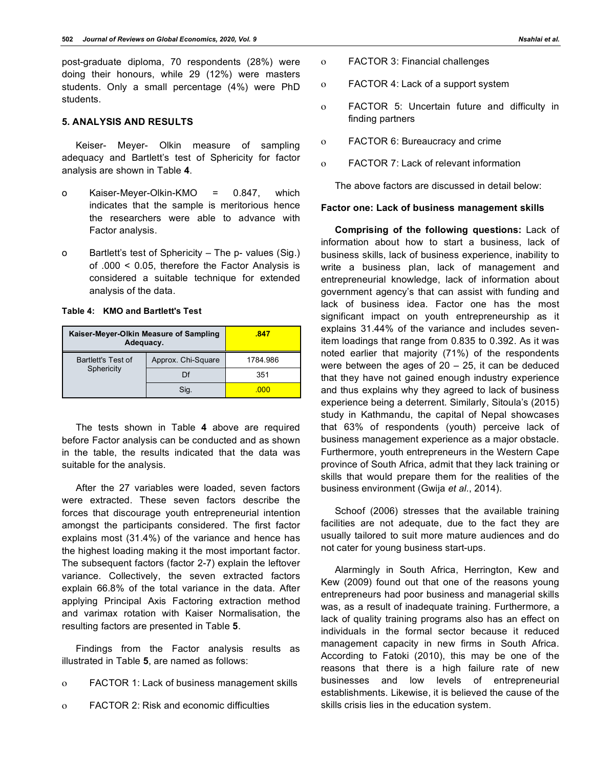post-graduate diploma, 70 respondents (28%) were doing their honours, while 29 (12%) were masters students. Only a small percentage (4%) were PhD students.

#### **5. ANALYSIS AND RESULTS**

Keiser- Meyer- Olkin measure of sampling adequacy and Bartlett's test of Sphericity for factor analysis are shown in Table **4**.

- o Kaiser-Meyer-Olkin-KMO = 0.847, which indicates that the sample is meritorious hence the researchers were able to advance with Factor analysis.
- o Bartlett's test of Sphericity The p- values (Sig.) of .000 < 0.05, therefore the Factor Analysis is considered a suitable technique for extended analysis of the data.

#### **Table 4: KMO and Bartlett's Test**

| Kaiser-Meyer-Olkin Measure of Sampling<br>Adequacy. | .847               |          |
|-----------------------------------------------------|--------------------|----------|
| Bartlett's Test of<br>Sphericity                    | Approx. Chi-Square | 1784.986 |
|                                                     | Df                 | 351      |
|                                                     | Siq.               | -000     |

The tests shown in Table **4** above are required before Factor analysis can be conducted and as shown in the table, the results indicated that the data was suitable for the analysis.

After the 27 variables were loaded, seven factors were extracted. These seven factors describe the forces that discourage youth entrepreneurial intention amongst the participants considered. The first factor explains most (31.4%) of the variance and hence has the highest loading making it the most important factor. The subsequent factors (factor 2-7) explain the leftover variance. Collectively, the seven extracted factors explain 66.8% of the total variance in the data. After applying Principal Axis Factoring extraction method and varimax rotation with Kaiser Normalisation, the resulting factors are presented in Table **5**.

Findings from the Factor analysis results as illustrated in Table **5**, are named as follows:

- ο FACTOR 1: Lack of business management skills
- ο FACTOR 2: Risk and economic difficulties
- ο FACTOR 3: Financial challenges
- ο FACTOR 4: Lack of a support system
- ο FACTOR 5: Uncertain future and difficulty in finding partners
- ο FACTOR 6: Bureaucracy and crime
- ο FACTOR 7: Lack of relevant information

The above factors are discussed in detail below:

#### **Factor one: Lack of business management skills**

**Comprising of the following questions:** Lack of information about how to start a business, lack of business skills, lack of business experience, inability to write a business plan, lack of management and entrepreneurial knowledge, lack of information about government agency's that can assist with funding and lack of business idea. Factor one has the most significant impact on youth entrepreneurship as it explains 31.44% of the variance and includes sevenitem loadings that range from 0.835 to 0.392. As it was noted earlier that majority (71%) of the respondents were between the ages of  $20 - 25$ , it can be deduced that they have not gained enough industry experience and thus explains why they agreed to lack of business experience being a deterrent. Similarly, Sitoula's (2015) study in Kathmandu, the capital of Nepal showcases that 63% of respondents (youth) perceive lack of business management experience as a major obstacle. Furthermore, youth entrepreneurs in the Western Cape province of South Africa, admit that they lack training or skills that would prepare them for the realities of the business environment (Gwija *et al.*, 2014).

Schoof (2006) stresses that the available training facilities are not adequate, due to the fact they are usually tailored to suit more mature audiences and do not cater for young business start-ups.

Alarmingly in South Africa, Herrington, Kew and Kew (2009) found out that one of the reasons young entrepreneurs had poor business and managerial skills was, as a result of inadequate training. Furthermore, a lack of quality training programs also has an effect on individuals in the formal sector because it reduced management capacity in new firms in South Africa. According to Fatoki (2010), this may be one of the reasons that there is a high failure rate of new businesses and low levels of entrepreneurial establishments. Likewise, it is believed the cause of the skills crisis lies in the education system.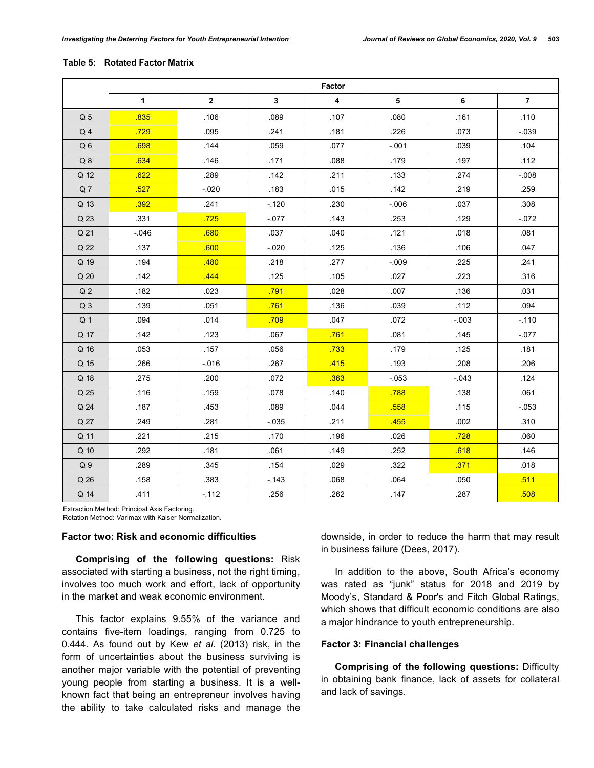| Table 5: | <b>Rotated Factor Matrix</b> |  |
|----------|------------------------------|--|
|----------|------------------------------|--|

|                 | Factor       |                |              |                         |          |          |                |
|-----------------|--------------|----------------|--------------|-------------------------|----------|----------|----------------|
|                 | $\mathbf{1}$ | $\overline{2}$ | $\mathbf{3}$ | $\overline{\mathbf{4}}$ | 5        | 6        | $\overline{7}$ |
| Q <sub>5</sub>  | .835         | .106           | .089         | .107                    | .080     | .161     | .110           |
| Q <sub>4</sub>  | .729         | .095           | .241         | .181                    | .226     | .073     | $-0.39$        |
| Q <sub>6</sub>  | .698         | .144           | .059         | .077                    | $-001$   | .039     | .104           |
| Q8              | .634         | .146           | .171         | .088                    | .179     | .197     | .112           |
| Q 12            | .622         | .289           | .142         | .211                    | .133     | .274     | $-.008$        |
| Q <sub>7</sub>  | .527         | $-020$         | .183         | .015                    | .142     | .219     | .259           |
| Q 13            | .392         | .241           | $-120$       | .230                    | $-0.006$ | .037     | .308           |
| Q 23            | .331         | .725           | $-077$       | .143                    | .253     | .129     | $-072$         |
| Q 21            | $-0.046$     | .680           | .037         | .040                    | .121     | .018     | .081           |
| Q 22            | .137         | .600           | $-0.020$     | .125                    | .136     | .106     | .047           |
| Q 19            | .194         | .480           | .218         | .277                    | $-009$   | .225     | .241           |
| Q <sub>20</sub> | .142         | .444           | .125         | .105                    | .027     | .223     | .316           |
| Q <sub>2</sub>  | .182         | .023           | .791         | .028                    | .007     | .136     | .031           |
| Q <sub>3</sub>  | .139         | .051           | .761         | .136                    | .039     | .112     | .094           |
| Q <sub>1</sub>  | .094         | .014           | .709         | .047                    | .072     | $-0.003$ | $-110$         |
| Q 17            | .142         | .123           | .067         | .761                    | .081     | .145     | $-077$         |
| Q 16            | .053         | .157           | .056         | .733                    | .179     | .125     | .181           |
| Q 15            | .266         | $-0.016$       | .267         | 415                     | .193     | .208     | .206           |
| Q 18            | .275         | .200           | .072         | .363                    | $-053$   | $-0.043$ | .124           |
| Q 25            | .116         | .159           | .078         | .140                    | .788     | .138     | .061           |
| Q 24            | .187         | .453           | .089         | .044                    | .558     | .115     | $-053$         |
| Q 27            | .249         | .281           | $-035$       | .211                    | .455     | .002     | .310           |
| Q 11            | .221         | .215           | .170         | .196                    | .026     | .728     | .060           |
| Q 10            | .292         | .181           | .061         | .149                    | .252     | .618     | .146           |
| Q <sub>9</sub>  | .289         | .345           | .154         | .029                    | .322     | .371     | .018           |
| Q 26            | .158         | .383           | $-143$       | .068                    | .064     | .050     | .511           |
| Q 14            | .411         | $-112$         | .256         | .262                    | .147     | .287     | .508           |

Extraction Method: Principal Axis Factoring. Rotation Method: Varimax with Kaiser Normalization.

#### **Factor two: Risk and economic difficulties**

**Comprising of the following questions:** Risk associated with starting a business, not the right timing, involves too much work and effort, lack of opportunity in the market and weak economic environment.

This factor explains 9.55% of the variance and contains five-item loadings, ranging from 0.725 to 0.444. As found out by Kew *et al*. (2013) risk, in the form of uncertainties about the business surviving is another major variable with the potential of preventing young people from starting a business. It is a wellknown fact that being an entrepreneur involves having the ability to take calculated risks and manage the

downside, in order to reduce the harm that may result in business failure (Dees, 2017).

In addition to the above, South Africa's economy was rated as "junk" status for 2018 and 2019 by Moody's, Standard & Poor's and Fitch Global Ratings, which shows that difficult economic conditions are also a major hindrance to youth entrepreneurship.

#### **Factor 3: Financial challenges**

**Comprising of the following questions:** Difficulty in obtaining bank finance, lack of assets for collateral and lack of savings.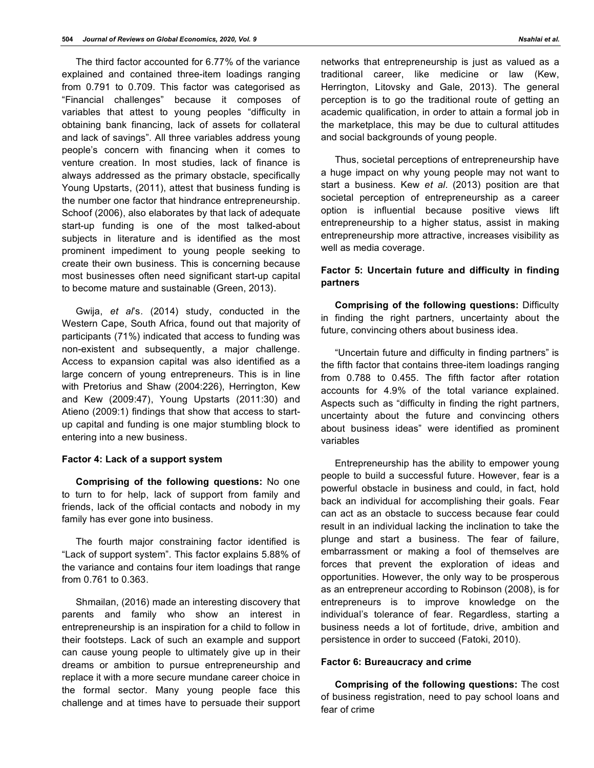The third factor accounted for 6.77% of the variance explained and contained three-item loadings ranging from 0.791 to 0.709. This factor was categorised as "Financial challenges" because it composes of variables that attest to young peoples "difficulty in obtaining bank financing, lack of assets for collateral and lack of savings". All three variables address young people's concern with financing when it comes to venture creation. In most studies, lack of finance is always addressed as the primary obstacle, specifically Young Upstarts, (2011), attest that business funding is the number one factor that hindrance entrepreneurship. Schoof (2006), also elaborates by that lack of adequate start-up funding is one of the most talked-about subjects in literature and is identified as the most prominent impediment to young people seeking to create their own business. This is concerning because most businesses often need significant start-up capital to become mature and sustainable (Green, 2013).

Gwija, *et al*'s. (2014) study, conducted in the Western Cape, South Africa, found out that majority of participants (71%) indicated that access to funding was non-existent and subsequently, a major challenge. Access to expansion capital was also identified as a large concern of young entrepreneurs. This is in line with Pretorius and Shaw (2004:226), Herrington, Kew and Kew (2009:47), Young Upstarts (2011:30) and Atieno (2009:1) findings that show that access to startup capital and funding is one major stumbling block to entering into a new business.

#### **Factor 4: Lack of a support system**

**Comprising of the following questions:** No one to turn to for help, lack of support from family and friends, lack of the official contacts and nobody in my family has ever gone into business.

The fourth major constraining factor identified is "Lack of support system". This factor explains 5.88% of the variance and contains four item loadings that range from 0.761 to 0.363.

Shmailan, (2016) made an interesting discovery that parents and family who show an interest in entrepreneurship is an inspiration for a child to follow in their footsteps. Lack of such an example and support can cause young people to ultimately give up in their dreams or ambition to pursue entrepreneurship and replace it with a more secure mundane career choice in the formal sector. Many young people face this challenge and at times have to persuade their support networks that entrepreneurship is just as valued as a traditional career, like medicine or law (Kew, Herrington, Litovsky and Gale, 2013). The general perception is to go the traditional route of getting an academic qualification, in order to attain a formal job in the marketplace, this may be due to cultural attitudes and social backgrounds of young people.

Thus, societal perceptions of entrepreneurship have a huge impact on why young people may not want to start a business. Kew *et al*. (2013) position are that societal perception of entrepreneurship as a career option is influential because positive views lift entrepreneurship to a higher status, assist in making entrepreneurship more attractive, increases visibility as well as media coverage.

## **Factor 5: Uncertain future and difficulty in finding partners**

**Comprising of the following questions:** Difficulty in finding the right partners, uncertainty about the future, convincing others about business idea.

"Uncertain future and difficulty in finding partners" is the fifth factor that contains three-item loadings ranging from 0.788 to 0.455. The fifth factor after rotation accounts for 4.9% of the total variance explained. Aspects such as "difficulty in finding the right partners, uncertainty about the future and convincing others about business ideas" were identified as prominent variables

Entrepreneurship has the ability to empower young people to build a successful future. However, fear is a powerful obstacle in business and could, in fact, hold back an individual for accomplishing their goals. Fear can act as an obstacle to success because fear could result in an individual lacking the inclination to take the plunge and start a business. The fear of failure, embarrassment or making a fool of themselves are forces that prevent the exploration of ideas and opportunities. However, the only way to be prosperous as an entrepreneur according to Robinson (2008), is for entrepreneurs is to improve knowledge on the individual's tolerance of fear. Regardless, starting a business needs a lot of fortitude, drive, ambition and persistence in order to succeed (Fatoki, 2010).

#### **Factor 6: Bureaucracy and crime**

**Comprising of the following questions:** The cost of business registration, need to pay school loans and fear of crime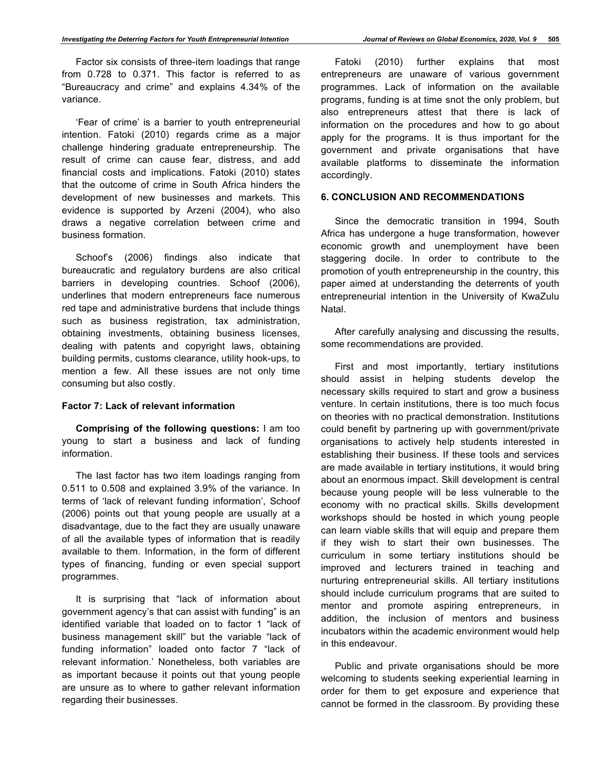Factor six consists of three-item loadings that range from 0.728 to 0.371. This factor is referred to as "Bureaucracy and crime" and explains 4.34% of the variance.

'Fear of crime' is a barrier to youth entrepreneurial intention. Fatoki (2010) regards crime as a major challenge hindering graduate entrepreneurship. The result of crime can cause fear, distress, and add financial costs and implications. Fatoki (2010) states that the outcome of crime in South Africa hinders the development of new businesses and markets. This evidence is supported by Arzeni (2004), who also draws a negative correlation between crime and business formation.

Schoof's (2006) findings also indicate that bureaucratic and regulatory burdens are also critical barriers in developing countries. Schoof (2006), underlines that modern entrepreneurs face numerous red tape and administrative burdens that include things such as business registration, tax administration, obtaining investments, obtaining business licenses, dealing with patents and copyright laws, obtaining building permits, customs clearance, utility hook-ups, to mention a few. All these issues are not only time consuming but also costly.

#### **Factor 7: Lack of relevant information**

**Comprising of the following questions:** I am too young to start a business and lack of funding information.

The last factor has two item loadings ranging from 0.511 to 0.508 and explained 3.9% of the variance. In terms of 'lack of relevant funding information', Schoof (2006) points out that young people are usually at a disadvantage, due to the fact they are usually unaware of all the available types of information that is readily available to them. Information, in the form of different types of financing, funding or even special support programmes.

It is surprising that "lack of information about government agency's that can assist with funding" is an identified variable that loaded on to factor 1 "lack of business management skill" but the variable "lack of funding information" loaded onto factor 7 "lack of relevant information.' Nonetheless, both variables are as important because it points out that young people are unsure as to where to gather relevant information regarding their businesses.

Fatoki (2010) further explains that most entrepreneurs are unaware of various government programmes. Lack of information on the available programs, funding is at time snot the only problem, but also entrepreneurs attest that there is lack of information on the procedures and how to go about apply for the programs. It is thus important for the government and private organisations that have available platforms to disseminate the information accordingly.

# **6. CONCLUSION AND RECOMMENDATIONS**

Since the democratic transition in 1994, South Africa has undergone a huge transformation, however economic growth and unemployment have been staggering docile. In order to contribute to the promotion of youth entrepreneurship in the country, this paper aimed at understanding the deterrents of youth entrepreneurial intention in the University of KwaZulu Natal.

After carefully analysing and discussing the results, some recommendations are provided.

First and most importantly, tertiary institutions should assist in helping students develop the necessary skills required to start and grow a business venture. In certain institutions, there is too much focus on theories with no practical demonstration. Institutions could benefit by partnering up with government/private organisations to actively help students interested in establishing their business. If these tools and services are made available in tertiary institutions, it would bring about an enormous impact. Skill development is central because young people will be less vulnerable to the economy with no practical skills. Skills development workshops should be hosted in which young people can learn viable skills that will equip and prepare them if they wish to start their own businesses. The curriculum in some tertiary institutions should be improved and lecturers trained in teaching and nurturing entrepreneurial skills. All tertiary institutions should include curriculum programs that are suited to mentor and promote aspiring entrepreneurs, in addition, the inclusion of mentors and business incubators within the academic environment would help in this endeavour.

Public and private organisations should be more welcoming to students seeking experiential learning in order for them to get exposure and experience that cannot be formed in the classroom. By providing these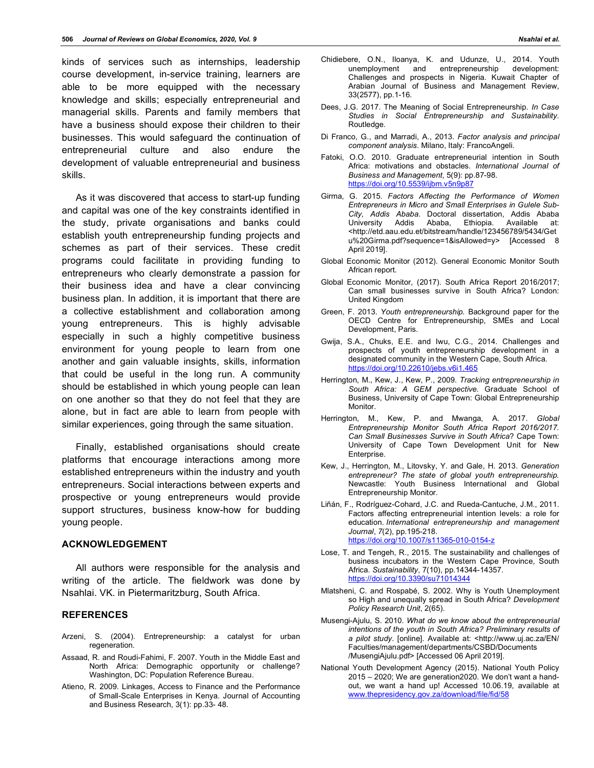kinds of services such as internships, leadership course development, in-service training, learners are able to be more equipped with the necessary knowledge and skills; especially entrepreneurial and managerial skills. Parents and family members that have a business should expose their children to their businesses. This would safeguard the continuation of entrepreneurial culture and also endure the development of valuable entrepreneurial and business skills.

As it was discovered that access to start-up funding and capital was one of the key constraints identified in the study, private organisations and banks could establish youth entrepreneurship funding projects and schemes as part of their services. These credit programs could facilitate in providing funding to entrepreneurs who clearly demonstrate a passion for their business idea and have a clear convincing business plan. In addition, it is important that there are a collective establishment and collaboration among young entrepreneurs. This is highly advisable especially in such a highly competitive business environment for young people to learn from one another and gain valuable insights, skills, information that could be useful in the long run. A community should be established in which young people can lean on one another so that they do not feel that they are alone, but in fact are able to learn from people with similar experiences, going through the same situation.

Finally, established organisations should create platforms that encourage interactions among more established entrepreneurs within the industry and youth entrepreneurs. Social interactions between experts and prospective or young entrepreneurs would provide support structures, business know-how for budding young people.

#### **ACKNOWLEDGEMENT**

All authors were responsible for the analysis and writing of the article. The fieldwork was done by Nsahlai. VK. in Pietermaritzburg, South Africa.

#### **REFERENCES**

- Arzeni, S. (2004). Entrepreneurship: a catalyst for urban regeneration.
- Assaad, R. and Roudi-Fahimi, F. 2007. Youth in the Middle East and North Africa: Demographic opportunity or challenge? Washington, DC: Population Reference Bureau.
- Atieno, R. 2009. Linkages, Access to Finance and the Performance of Small-Scale Enterprises in Kenya. Journal of Accounting and Business Research, 3(1): pp.33- 48.
- Chidiebere, O.N., Iloanya, K. and Udunze, U., 2014. Youth unemployment and entrepreneurship development: Challenges and prospects in Nigeria. Kuwait Chapter of Arabian Journal of Business and Management Review, 33(2577), pp.1-16.
- Dees, J.G. 2017. The Meaning of Social Entrepreneurship. *In Case Studies in Social Entrepreneurship and Sustainability*. Routledge.
- Di Franco, G., and Marradi, A., 2013. *Factor analysis and principal component analysis*. Milano, Italy: FrancoAngeli.
- Fatoki, O.O. 2010. Graduate entrepreneurial intention in South Africa: motivations and obstacles. *International Journal of Business and Management*, 5(9): pp.87-98. https://doi.org/10.5539/ijbm.v5n9p87
- Girma, G. 2015. *Factors Affecting the Performance of Women Entrepreneurs in Micro and Small Enterprises in Gulele Sub-City, Addis Ababa*. Doctoral dissertation, Addis Ababa University Addis Ababa, Ethiopia. Available at: <http://etd.aau.edu.et/bitstream/handle/123456789/5434/Get u%20Girma.pdf?sequence=1&isAllowed=y> [Accessed 8 April 2019].
- Global Economic Monitor (2012). General Economic Monitor South African report.
- Global Economic Monitor, (2017). South Africa Report 2016/2017; Can small businesses survive in South Africa? London: United Kingdom
- Green, F. 2013. *Youth entrepreneurship.* Background paper for the OECD Centre for Entrepreneurship, SMEs and Local Development, Paris.
- Gwija, S.A., Chuks, E.E. and Iwu, C.G., 2014. Challenges and prospects of youth entrepreneurship development in a designated community in the Western Cape, South Africa. https://doi.org/10.22610/jebs.v6i1.465
- Herrington, M., Kew, J., Kew, P., 2009. *Tracking entrepreneurship in South Africa: A GEM perspective.* Graduate School of Business, University of Cape Town: Global Entrepreneurship Monitor.
- Herrington, M., Kew, P. and Mwanga, A. 2017. *Global Entrepreneurship Monitor South Africa Report 2016/2017. Can Small Businesses Survive in South Africa*? Cape Town: University of Cape Town Development Unit for New Enterprise.
- Kew, J., Herrington, M., Litovsky, Y. and Gale, H. 2013. *Generation entrepreneur? The state of global youth entrepreneurship.*  Newcastle: Youth Business International and Global Entrepreneurship Monitor.
- Liñán, F., Rodríguez-Cohard, J.C. and Rueda-Cantuche, J.M., 2011. Factors affecting entrepreneurial intention levels: a role for education. *International entrepreneurship and management Journal*, *7*(2), pp.195-218. https://doi.org/10.1007/s11365-010-0154-z
- Lose, T. and Tengeh, R., 2015. The sustainability and challenges of business incubators in the Western Cape Province, South Africa. *Sustainability*, 7(10), pp.14344-14357. https://doi.org/10.3390/su71014344
- Mlatsheni, C. and Rospabé, S. 2002. Why is Youth Unemployment so High and unequally spread in South Africa? *Development Policy Research Unit*, 2(65).
- Musengi-Ajulu, S. 2010. *What do we know about the entrepreneurial intentions of the youth in South Africa? Preliminary results of a pilot study*. [online]. Available at: <http://www.uj.ac.za/EN/ Faculties/management/departments/CSBD/Documents /MusengiAjulu.pdf> [Accessed 06 April 2019].
- National Youth Development Agency (2015). National Youth Policy 2015 – 2020; We are generation2020. We don't want a handout, we want a hand up! Accessed 10.06.19, available at www.thepresidency.gov.za/download/file/fid/58